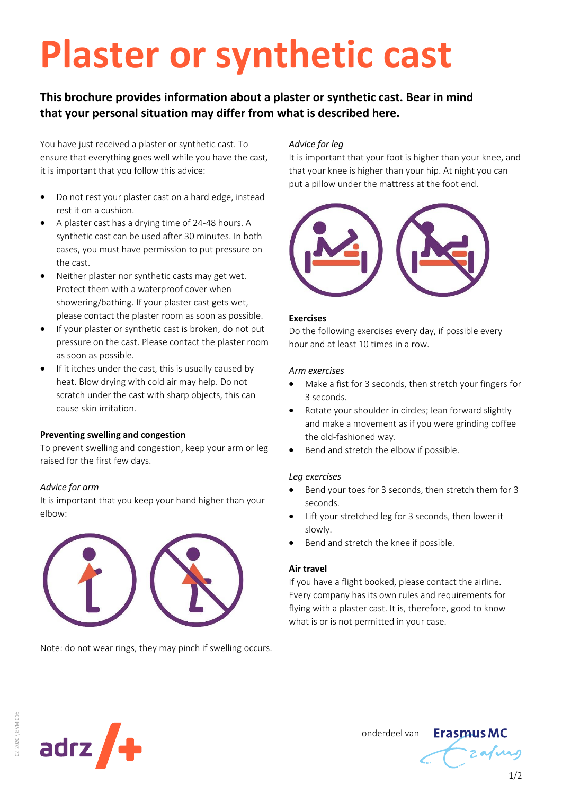# **Plaster or synthetic cast**

# **This brochure provides information about a plaster or synthetic cast. Bear in mind that your personal situation may differ from what is described here.**

You have just received a plaster or synthetic cast. To ensure that everything goes well while you have the cast, it is important that you follow this advice:

- Do not rest your plaster cast on a hard edge, instead rest it on a cushion.
- A plaster cast has a drying time of 24-48 hours. A synthetic cast can be used after 30 minutes. In both cases, you must have permission to put pressure on the cast.
- Neither plaster nor synthetic casts may get wet. Protect them with a waterproof cover when showering/bathing. If your plaster cast gets wet, please contact the plaster room as soon as possible.
- If your plaster or synthetic cast is broken, do not put pressure on the cast. Please contact the plaster room as soon as possible.
- $\bullet$  If it itches under the cast, this is usually caused by heat. Blow drying with cold air may help. Do not scratch under the cast with sharp objects, this can cause skin irritation.

# **Preventing swelling and congestion**

To prevent swelling and congestion, keep your arm or leg raised for the first few days.

# *Advice for arm*

It is important that you keep your hand higher than your elbow:



Note: do not wear rings, they may pinch if swelling occurs.

# *Advice for leg*

It is important that your foot is higher than your knee, and that your knee is higher than your hip. At night you can put a pillow under the mattress at the foot end.



#### **Exercises**

Do the following exercises every day, if possible every hour and at least 10 times in a row.

#### *Arm exercises*

- Make a fist for 3 seconds, then stretch your fingers for 3 seconds.
- Rotate your shoulder in circles; lean forward slightly and make a movement as if you were grinding coffee the old-fashioned way.
- Bend and stretch the elbow if possible.

# *Leg exercises*

- Bend your toes for 3 seconds, then stretch them for 3 seconds.
- Lift your stretched leg for 3 seconds, then lower it slowly.
- Bend and stretch the knee if possible.

# **Air travel**

If you have a flight booked, please contact the airline. Every company has its own rules and requirements for flying with a plaster cast. It is, therefore, good to know what is or is not permitted in your case.